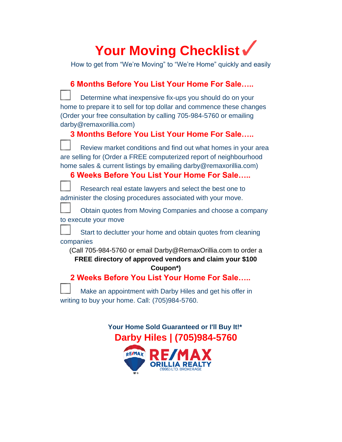# Your Moving Checklist v

How to get from "We're Moving" to "We're Home" quickly and easily

| 6 Months Before You List Your Home For Sale                                                                                                                                                                                                            |  |  |  |  |
|--------------------------------------------------------------------------------------------------------------------------------------------------------------------------------------------------------------------------------------------------------|--|--|--|--|
| Determine what inexpensive fix-ups you should do on your<br>home to prepare it to sell for top dollar and commence these changes<br>(Order your free consultation by calling 705-984-5760 or emailing<br>darby@remaxorillia.com)                       |  |  |  |  |
| 3 Months Before You List Your Home For Sale                                                                                                                                                                                                            |  |  |  |  |
| Review market conditions and find out what homes in your area<br>are selling for (Order a FREE computerized report of neighbourhood<br>home sales & current listings by emailing darby@remaxorillia.com)<br>6 Weeks Before You List Your Home For Sale |  |  |  |  |
|                                                                                                                                                                                                                                                        |  |  |  |  |
| Research real estate lawyers and select the best one to<br>administer the closing procedures associated with your move.                                                                                                                                |  |  |  |  |
| Obtain quotes from Moving Companies and choose a company<br>to execute your move                                                                                                                                                                       |  |  |  |  |
| Start to declutter your home and obtain quotes from cleaning<br>companies                                                                                                                                                                              |  |  |  |  |
| (Call 705-984-5760 or email Darby@RemaxOrillia.com to order a<br>FREE directory of approved vendors and claim your \$100<br>Coupon*)                                                                                                                   |  |  |  |  |
| 2 Weeks Before You List Your Home For Sale                                                                                                                                                                                                             |  |  |  |  |
| Make an appointment with Darby Hiles and get his offer in<br>writing to buy your home. Call: (705)984-5760.                                                                                                                                            |  |  |  |  |

 **Your Home Sold Guaranteed or I'll Buy It!\* Darby Hiles | (705)984-5760**

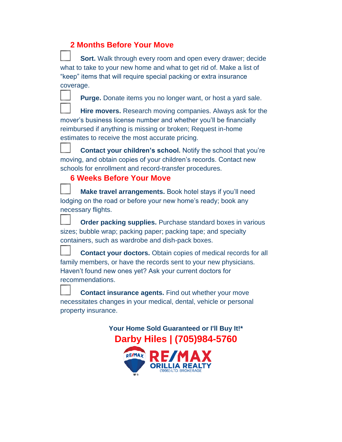### **2 Months Before Your Move**

**Sort.** Walk through every room and open every drawer; decide what to take to your new home and what to get rid of. Make a list of "keep" items that will require special packing or extra insurance coverage.

**Purge.** Donate items you no longer want, or host a yard sale.

**Hire movers.** Research moving companies. Always ask for the mover's business license number and whether you'll be financially reimbursed if anything is missing or broken; Request in-home estimates to receive the most accurate pricing.

**Contact your children's school.** Notify the school that you're moving, and obtain copies of your children's records. Contact new schools for enrollment and record-transfer procedures.

### **6 Weeks Before Your Move**

**Make travel arrangements.** Book hotel stays if you'll need lodging on the road or before your new home's ready; book any necessary flights.

**Order packing supplies.** Purchase standard boxes in various sizes; bubble wrap; packing paper; packing tape; and specialty containers, such as wardrobe and dish-pack boxes.

**Contact your doctors.** Obtain copies of medical records for all family members, or have the records sent to your new physicians. Haven't found new ones yet? Ask your current doctors for recommendations.

**Contact insurance agents.** Find out whether your move necessitates changes in your medical, dental, vehicle or personal property insurance.

> **Your Home Sold Guaranteed or I'll Buy It!\* Darby Hiles | (705)984-5760**

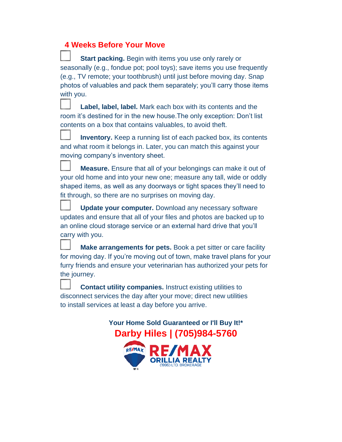### **4 Weeks Before Your Move**

**Start packing.** Begin with items you use only rarely or seasonally (e.g., fondue pot; pool toys); save items you use frequently (e.g., TV remote; your toothbrush) until just before moving day. Snap photos of valuables and pack them separately; you'll carry those items with you.

**Label, label, label.** Mark each box with its contents and the room it's destined for in the new house.The only exception: Don't list contents on a box that contains valuables, to avoid theft.

**Inventory.** Keep a running list of each packed box, its contents and what room it belongs in. Later, you can match this against your moving company's inventory sheet.

**Measure.** Ensure that all of your belongings can make it out of your old home and into your new one; measure any tall, wide or oddly shaped items, as well as any doorways or tight spaces they'll need to fit through, so there are no surprises on moving day.

**Update your computer.** Download any necessary software updates and ensure that all of your files and photos are backed up to an online cloud storage service or an external hard drive that you'll carry with you.

**Make arrangements for pets.** Book a pet sitter or care facility for moving day. If you're moving out of town, make travel plans for your furry friends and ensure your veterinarian has authorized your pets for the journey.

**Contact utility companies.** Instruct existing utilities to disconnect services the day after your move; direct new utilities to install services at least a day before you arrive.

> **Your Home Sold Guaranteed or I'll Buy It!\* Darby Hiles | (705)984-5760RE/MAX**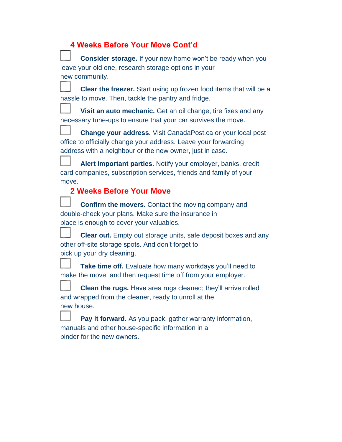| 4 Weeks Before Your Move Cont'd |  |  |
|---------------------------------|--|--|
|                                 |  |  |

| <b>Consider storage.</b> If your new home won't be ready when you                                                                                                                                 |
|---------------------------------------------------------------------------------------------------------------------------------------------------------------------------------------------------|
| leave your old one, research storage options in your                                                                                                                                              |
| new community.                                                                                                                                                                                    |
| <b>Clear the freezer.</b> Start using up frozen food items that will be a<br>hassle to move. Then, tackle the pantry and fridge.                                                                  |
| Visit an auto mechanic. Get an oil change, tire fixes and any<br>necessary tune-ups to ensure that your car survives the move.                                                                    |
| <b>Change your address.</b> Visit CanadaPost.ca or your local post<br>office to officially change your address. Leave your forwarding<br>address with a neighbour or the new owner, just in case. |
| Alert important parties. Notify your employer, banks, credit<br>card companies, subscription services, friends and family of your<br>move.                                                        |
| <b>2 Weeks Before Your Move</b>                                                                                                                                                                   |
| <b>Confirm the movers.</b> Contact the moving company and<br>double-check your plans. Make sure the insurance in<br>place is enough to cover your valuables.                                      |
| <b>Clear out.</b> Empty out storage units, safe deposit boxes and any<br>other off-site storage spots. And don't forget to<br>pick up your dry cleaning.                                          |
| Take time off. Evaluate how many workdays you'll need to<br>make the move, and then request time off from your employer.                                                                          |
| <b>Clean the rugs.</b> Have area rugs cleaned; they'll arrive rolled<br>and wrapped from the cleaner, ready to unroll at the<br>new house.                                                        |
| Pay it forward. As you pack, gather warranty information,<br>manuals and other house-specific information in a                                                                                    |

binder for the new owners.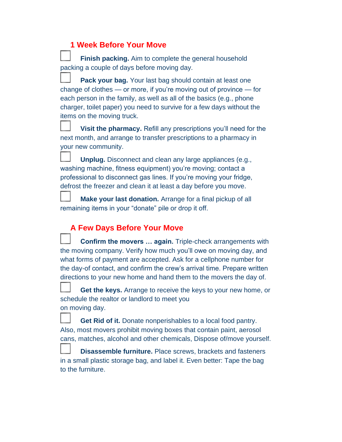### **1 Week Before Your Move**

**Finish packing.** Aim to complete the general household packing a couple of days before moving day.

**Pack your bag.** Your last bag should contain at least one change of clothes — or more, if you're moving out of province — for each person in the family, as well as all of the basics (e.g., phone charger, toilet paper) you need to survive for a few days without the items on the moving truck.

**Visit the pharmacy.** Refill any prescriptions you'll need for the next month, and arrange to transfer prescriptions to a pharmacy in your new community.

**Unplug.** Disconnect and clean any large appliances (e.g., washing machine, fitness equipment) you're moving; contact a professional to disconnect gas lines. If you're moving your fridge, defrost the freezer and clean it at least a day before you move.

**Make your last donation.** Arrange for a final pickup of all remaining items in your "donate" pile or drop it off.

## **A Few Days Before Your Move**

**Confirm the movers … again.** Triple-check arrangements with the moving company. Verify how much you'll owe on moving day, and what forms of payment are accepted. Ask for a cellphone number for the day-of contact, and confirm the crew's arrival time. Prepare written directions to your new home and hand them to the movers the day of.

**Get the keys.** Arrange to receive the keys to your new home, or schedule the realtor or landlord to meet you on moving day.

**Get Rid of it.** Donate nonperishables to a local food pantry. Also, most movers prohibit moving boxes that contain paint, aerosol cans, matches, alcohol and other chemicals, Dispose of/move yourself.

**Disassemble furniture.** Place screws, brackets and fasteners in a small plastic storage bag, and label it. Even better: Tape the bag to the furniture.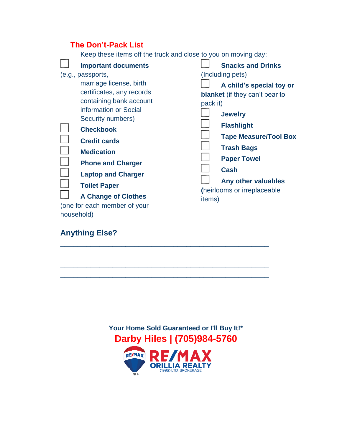|            | <b>The Don't-Pack List</b>                                                                                                                                                                                                                                                                                                       |          |                                                                                                                                                                                                                                                                              |  |  |  |
|------------|----------------------------------------------------------------------------------------------------------------------------------------------------------------------------------------------------------------------------------------------------------------------------------------------------------------------------------|----------|------------------------------------------------------------------------------------------------------------------------------------------------------------------------------------------------------------------------------------------------------------------------------|--|--|--|
|            | Keep these items off the truck and close to you on moving day:                                                                                                                                                                                                                                                                   |          |                                                                                                                                                                                                                                                                              |  |  |  |
|            | <b>Important documents</b>                                                                                                                                                                                                                                                                                                       |          | <b>Snacks and Drinks</b>                                                                                                                                                                                                                                                     |  |  |  |
|            | (e.g., passports,<br>marriage license, birth<br>certificates, any records<br>containing bank account<br>information or Social<br>Security numbers)<br><b>Checkbook</b><br><b>Credit cards</b><br><b>Medication</b><br><b>Phone and Charger</b><br><b>Laptop and Charger</b><br><b>Toilet Paper</b><br><b>A Change of Clothes</b> | pack it) | (Including pets)<br>A child's special toy or<br><b>blanket</b> (if they can't bear to<br><b>Jewelry</b><br><b>Flashlight</b><br><b>Tape Measure/Tool Box</b><br><b>Trash Bags</b><br><b>Paper Towel</b><br><b>Cash</b><br>Any other valuables<br>(heirlooms or irreplaceable |  |  |  |
|            | (one for each member of your                                                                                                                                                                                                                                                                                                     | items)   |                                                                                                                                                                                                                                                                              |  |  |  |
| household) |                                                                                                                                                                                                                                                                                                                                  |          |                                                                                                                                                                                                                                                                              |  |  |  |

# **Anything Else?**





**\_\_\_\_\_\_\_\_\_\_\_\_\_\_\_\_\_\_\_\_\_\_\_\_\_\_\_\_\_\_\_\_\_\_\_\_\_\_\_\_\_\_\_\_\_\_\_\_ \_\_\_\_\_\_\_\_\_\_\_\_\_\_\_\_\_\_\_\_\_\_\_\_\_\_\_\_\_\_\_\_\_\_\_\_\_\_\_\_\_\_\_\_\_\_\_\_ \_\_\_\_\_\_\_\_\_\_\_\_\_\_\_\_\_\_\_\_\_\_\_\_\_\_\_\_\_\_\_\_\_\_\_\_\_\_\_\_\_\_\_\_\_\_\_\_ \_\_\_\_\_\_\_\_\_\_\_\_\_\_\_\_\_\_\_\_\_\_\_\_\_\_\_\_\_\_\_\_\_\_\_\_\_\_\_\_\_\_\_\_\_\_\_\_**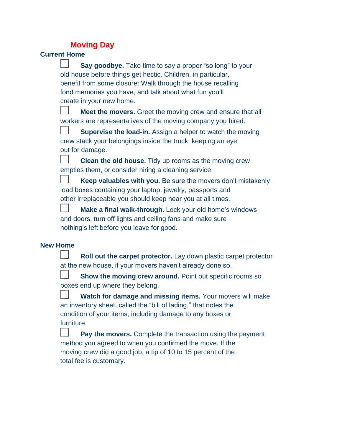### **Moving Day**

### **Current Home**

**Say goodbye.** Take time to say a proper "so long" to your old house before things get hectic. Children, in particular, benefit from some closure: Walk through the house recalling fond memories you have, and talk about what fun you'll create in your new home.

**Meet the movers.** Greet the moving crew and ensure that all workers are representatives of the moving company you hired.

**Supervise the load-in.** Assign a helper to watch the moving crew stack your belongings inside the truck, keeping an eye out for damage.

**Clean the old house.** Tidy up rooms as the moving crew empties them, or consider hiring a cleaning service.

**Keep valuables with you.** Be sure the movers don't mistakenly load boxes containing your laptop, jewelry, passports and other irreplaceable you should keep near you at all times.

**Make a final walk-through.** Lock your old home's windows and doors, turn off lights and ceiling fans and make sure nothing's left before you leave for good.

### **New Home**

**Roll out the carpet protector.** Lay down plastic carpet protector at the new house, if your movers haven't already done so.

**Show the moving crew around.** Point out specific rooms so boxes end up where they belong.

**Watch for damage and missing items.** Your movers will make an inventory sheet, called the "bill of lading," that notes the condition of your items, including damage to any boxes or furniture.

**Pay the movers.** Complete the transaction using the payment method you agreed to when you confirmed the move. If the moving crew did a good job, a tip of 10 to 15 percent of the total fee is customary.